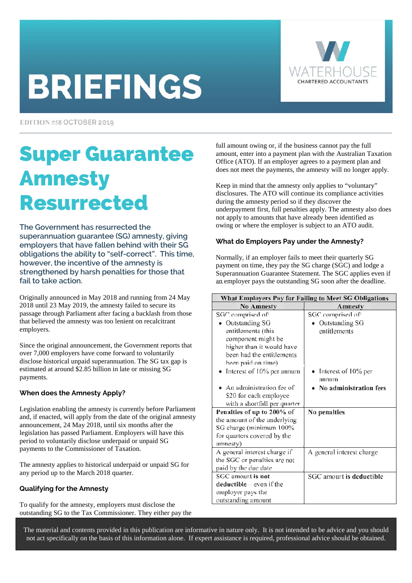# **BRIEFINGS**



EDITION #58 OCTOBER 2019

## Super Guarantee Amnesty Resurrected

**The Government has resurrected the superannuation guarantee (SG) amnesty, giving employers that have fallen behind with their SG obligations the ability to "self-correct". This time, however, the incentive of the amnesty is strengthened by harsh penalties for those that fail to take action.** 

Originally announced in May 2018 and running from 24 May 2018 until 23 May 2019, the amnesty failed to secure its passage through Parliament after facing a backlash from those that believed the amnesty was too lenient on recalcitrant employers.

Since the original announcement, the Government reports that over 7,000 employers have come forward to voluntarily disclose historical unpaid superannuation. The SG tax gap is estimated at around \$2.85 billion in late or missing SG payments.

#### **When does the Amnesty Apply?**

Legislation enabling the amnesty is currently before Parliament and, if enacted, will apply from the date of the original amnesty announcement, 24 May 2018, until six months after the legislation has passed Parliament. Employers will have this period to voluntarily disclose underpaid or unpaid SG payments to the Commissioner of Taxation.

The amnesty applies to historical underpaid or unpaid SG for any period up to the March 2018 quarter.

#### **Qualifying for the Amnesty**

To qualify for the amnesty, employers must disclose the outstanding SG to the Tax Commissioner. They either pay the full amount owing or, if the business cannot pay the full amount, enter into a payment plan with the Australian Taxation Office (ATO). If an employer agrees to a payment plan and does not meet the payments, the amnesty will no longer apply.

Keep in mind that the amnesty only applies to "voluntary" disclosures. The ATO will continue its compliance activities during the amnesty period so if they discover the underpayment first, full penalties apply. The amnesty also does not apply to amounts that have already been identified as owing or where the employer is subject to an ATO audit.

#### **What do Employers Pay under the Amnesty?**

Normally, if an employer fails to meet their quarterly SG payment on time, they pay the SG charge (SGC) and lodge a Superannuation Guarantee Statement. The SGC applies even if an employer pays the outstanding SG soon after the deadline.

| <b>What Employers Pay for Failing to Meet SG Obligations</b> |                           |  |
|--------------------------------------------------------------|---------------------------|--|
| <b>No Amnesty</b>                                            | Amnesty                   |  |
| SGC comprised of:                                            | SGC comprised of:         |  |
| Outstanding SG                                               | Outstanding SG            |  |
| entitlements (this                                           | entitlements              |  |
| component might be                                           |                           |  |
| higher than it would have                                    |                           |  |
| been had the entitlements                                    |                           |  |
| been paid on time)                                           |                           |  |
| Interest of 10% per annum                                    | Interest of 10% per       |  |
|                                                              | annum                     |  |
| An administration fee of                                     | No administration fees    |  |
| \$20 for each employee                                       |                           |  |
| with a shortfall per quarter                                 |                           |  |
| Penalties of up to 200% of                                   | No penalties              |  |
| the amount of the underlying                                 |                           |  |
| SG charge (minimum 100%                                      |                           |  |
| for quarters covered by the                                  |                           |  |
| amnesty)                                                     |                           |  |
| A general interest charge if                                 | A general interest charge |  |
| the SGC or penalties are not                                 |                           |  |
| paid by the due date                                         |                           |  |
| SGC amount is not                                            | SGC amount is deductible  |  |
| $deductible - even if the$                                   |                           |  |
| employer pays the                                            |                           |  |
| outstanding amount                                           |                           |  |

The material and contents provided in this publication are informative in nature only. It is not intended to be advice and you should not act specifically on the basis of this information alone. If expert assistance is required, professional advice should be obtained.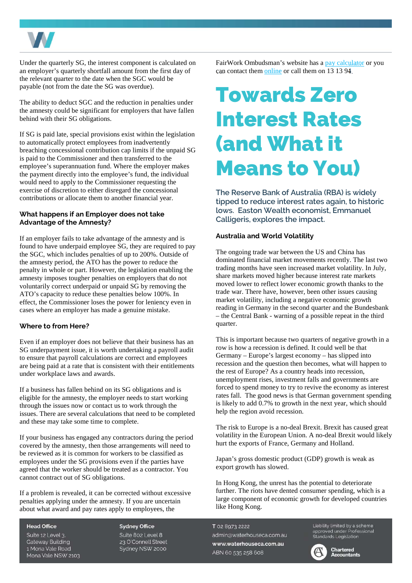

Under the quarterly SG, the interest component is calculated on an employer's quarterly shortfall amount from the first day of the relevant quarter to the date when the SGC would be payable (not from the date the SG was overdue).

The ability to deduct SGC and the reduction in penalties under the amnesty could be significant for employers that have fallen behind with their SG obligations.

If SG is paid late, special provisions exist within the legislation to automatically protect employees from inadvertently breaching concessional contribution cap limits if the unpaid SG is paid to the Commissioner and then transferred to the employee's superannuation fund. Where the employer makes the payment directly into the employee's fund, the individual would need to apply to the Commissioner requesting the exercise of discretion to either disregard the concessional contributions or allocate them to another financial year.

#### **What happens if an Employer does not take Advantage of the Amnesty?**

If an employer fails to take advantage of the amnesty and is found to have underpaid employee SG, they are required to pay the SGC, which includes penalties of up to 200%. Outside of the amnesty period, the ATO has the power to reduce the penalty in whole or part. However, the legislation enabling the amnesty imposes tougher penalties on employers that do not voluntarily correct underpaid or unpaid SG by removing the ATO's capacity to reduce these penalties below 100%. In effect, the Commissioner loses the power for leniency even in cases where an employer has made a genuine mistake.

#### **Where to from Here?**

Even if an employer does not believe that their business has an SG underpayment issue, it is worth undertaking a payroll audit to ensure that payroll calculations are correct and employees are being paid at a rate that is consistent with their entitlements under workplace laws and awards.

If a business has fallen behind on its SG obligations and is eligible for the amnesty, the employer needs to start working through the issues now or contact us to work through the issues. There are several calculations that need to be completed and these may take some time to complete.

If your business has engaged any contractors during the period covered by the amnesty, then those arrangements will need to be reviewed as it is common for workers to be classified as employees under the SG provisions even if the parties have agreed that the worker should be treated as a contractor. You cannot contract out of SG obligations.

If a problem is revealed, it can be corrected without excessive penalties applying under the amnesty. If you are uncertain about what award and pay rates apply to employees, the

**Head Office** Suite 12 Level 3. **Gateway Building** 1 Mona Vale Road Mona Vale NSW 2103

**Sydney Office** Suite 802 Level 8 23 O'Connell Street Sydney NSW 2000

FairWork Ombudsman's website has [a pay calculator](https://calculate.fairwork.gov.au/findyouraward) or you can contact them [online o](https://www.fairwork.gov.au/contact-us/online-enquiries)r call them on 13 13 94.

### Towards Zero Interest Rates (and What it Means to You)

**The Reserve Bank of Australia (RBA) is widely tipped to reduce interest rates again, to historic lows. Easton Wealth economist, Emmanuel Calligeris, explores the impact.** 

#### **Australia and World Volatility**

The ongoing trade war between the US and China has dominated financial market movements recently. The last two trading months have seen increased market volatility. In July, share markets moved higher because interest rate markets moved lower to reflect lower economic growth thanks to the trade war. There have, however, been other issues causing market volatility, including a negative economic growth reading in Germany in the second quarter and the Bundesbank – the Central Bank - warning of a possible repeat in the third quarter.

This is important because two quarters of negative growth in a row is how a recession is defined. It could well be that Germany – Europe's largest economy – has slipped into recession and the question then becomes, what will happen to the rest of Europe? As a country heads into recession, unemployment rises, investment falls and governments are forced to spend money to try to revive the economy as interest rates fall. The good news is that German government spending is likely to add 0.7% to growth in the next year, which should help the region avoid recession.

The risk to Europe is a no-deal Brexit. Brexit has caused great volatility in the European Union. A no-deal Brexit would likely hurt the exports of France, Germany and Holland.

Japan's gross domestic product (GDP) growth is weak as export growth has slowed.

In Hong Kong, the unrest has the potential to deteriorate further. The riots have dented consumer spending, which is a large component of economic growth for developed countries like Hong Kong.

T 02 8973 2222 admin@waterhouseca.com.au www.waterhouseca.com.au ABN 60 535 258 608

Liability limited by a scheme approved under Professional<br>Standards Legislation



Chartered **Accountants**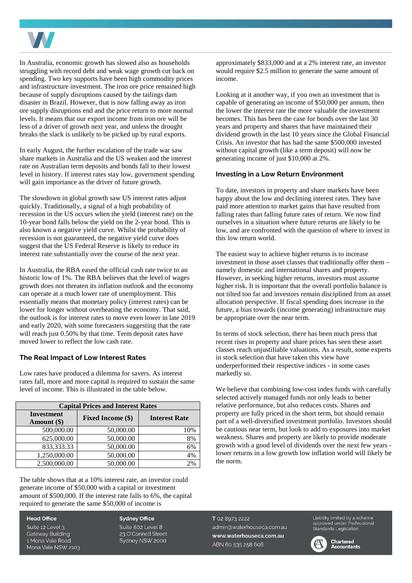

In Australia, economic growth has slowed also as households struggling with record debt and weak wage growth cut back on spending. Two key supports have been high commodity prices and infrastructure investment. The iron ore price remained high because of supply disruptions caused by the tailings dam disaster in Brazil. However, that is now falling away as iron ore supply disruptions end and the price return to more normal levels. It means that our export income from iron ore will be less of a driver of growth next year, and unless the drought breaks the slack is unlikely to be picked up by rural exports.

In early August, the further escalation of the trade war saw share markets in Australia and the US weaken and the interest rate on Australian term deposits and bonds fall to their lowest level in history. If interest rates stay low, government spending will gain importance as the driver of future growth.

The slowdown in global growth saw US interest rates adjust quickly. Traditionally, a signal of a high probability of recession in the US occurs when the yield (interest rate) on the 10-year bond falls below the yield on the 2-year bond. This is also known a negative yield curve. Whilst the probability of recession is not guaranteed, the negative yield curve does suggest that the US Federal Reserve is likely to reduce its interest rate substantially over the course of the next year.

In Australia, the RBA eased the official cash rate twice to an historic low of 1%. The RBA believes that the level of wages growth does not threaten its inflation outlook and the economy can operate at a much lower rate of unemployment. This essentially means that monetary policy (interest rates) can be lower for longer without overheating the economy. That said, the outlook is for interest rates to move even lower in late 2019 and early 2020, with some forecasters suggesting that the rate will reach just 0.50% by that time. Term deposit rates have moved lower to reflect the low cash rate.

#### **The Real Impact of Low Interest Rates**

Low rates have produced a dilemma for savers. As interest rates fall, more and more capital is required to sustain the same level of income. This is illustrated in the table below.

| <b>Capital Prices and Interest Rates</b> |                          |                      |  |
|------------------------------------------|--------------------------|----------------------|--|
| <b>Investment</b><br>Amount (\$)         | <b>Fixed Income (\$)</b> | <b>Interest Rate</b> |  |
| 500,000.00                               | 50,000.00                | 10%                  |  |
| 625,000.00                               | 50,000.00                | 8%                   |  |
| 833, 333. 33                             | 50,000.00                | 6%                   |  |
| 1,250,000.00                             | 50,000.00                | 4%                   |  |
| 2,500,000.00                             | 50,000.00                | 20 <sub>0</sub>      |  |

The table shows that at a 10% interest rate, an investor could generate income of \$50,000 with a capital or investment amount of \$500,000. If the interest rate falls to 6%, the capital required to generate the same \$50,000 of income is

**Head Office** 

Suite 12 Level 3. **Gateway Building** 1 Mona Vale Road Mona Vale NSW 2103

**Sydney Office** Suite 802 Level 8 23 O'Connell Street Sydney NSW 2000

approximately \$833,000 and at a 2% interest rate, an investor would require \$2.5 million to generate the same amount of income.

Looking at it another way, if you own an investment that is capable of generating an income of \$50,000 per annum, then the lower the interest rate the more valuable the investment becomes. This has been the case for bonds over the last 30 years and property and shares that have maintained their dividend growth in the last 10 years since the Global Financial Crisis. An investor that has had the same \$500,000 invested without capital growth (like a term deposit) will now be generating income of just \$10,000 at 2%.

#### **Investing in a Low Return Environment**

To date, investors in property and share markets have been happy about the low and declining interest rates. They have paid more attention to market gains that have resulted from falling rates than falling future rates of return. We now find ourselves in a situation where future returns are likely to be low, and are confronted with the question of where to invest in this low return world.

The easiest way to achieve higher returns is to increase investment in those asset classes that traditionally offer them – namely domestic and international shares and property. However, in seeking higher returns, investors must assume higher risk. It is important that the overall portfolio balance is not tilted too far and investors remain disciplined from an asset allocation perspective. If fiscal spending does increase in the future, a bias towards (income generating) infrastructure may be appropriate over the near term.

In terms of stock selection, there has been much press that recent rises in property and share prices has seen these asset classes reach unjustifiable valuations. As a result, some experts in stock selection that have taken this view have underperformed their respective indices - in some cases markedly so.

We believe that combining low-cost index funds with carefully selected actively managed funds not only leads to better relative performance, but also reduces costs. Shares and property are fully priced in the short term, but should remain part of a well-diversified investment portfolio. Investors should be cautious near term, but look to add to exposures into market weakness. Shares and property are likely to provide moderate growth with a good level of dividends over the next few years lower returns in a low growth low inflation world will likely be the norm.

T 02 8973 2222 admin@waterhouseca.com.au www.waterhouseca.com.au ABN 60 535 258 608

Liability limited by a scheme<br>approved under Professional Standards Legislation